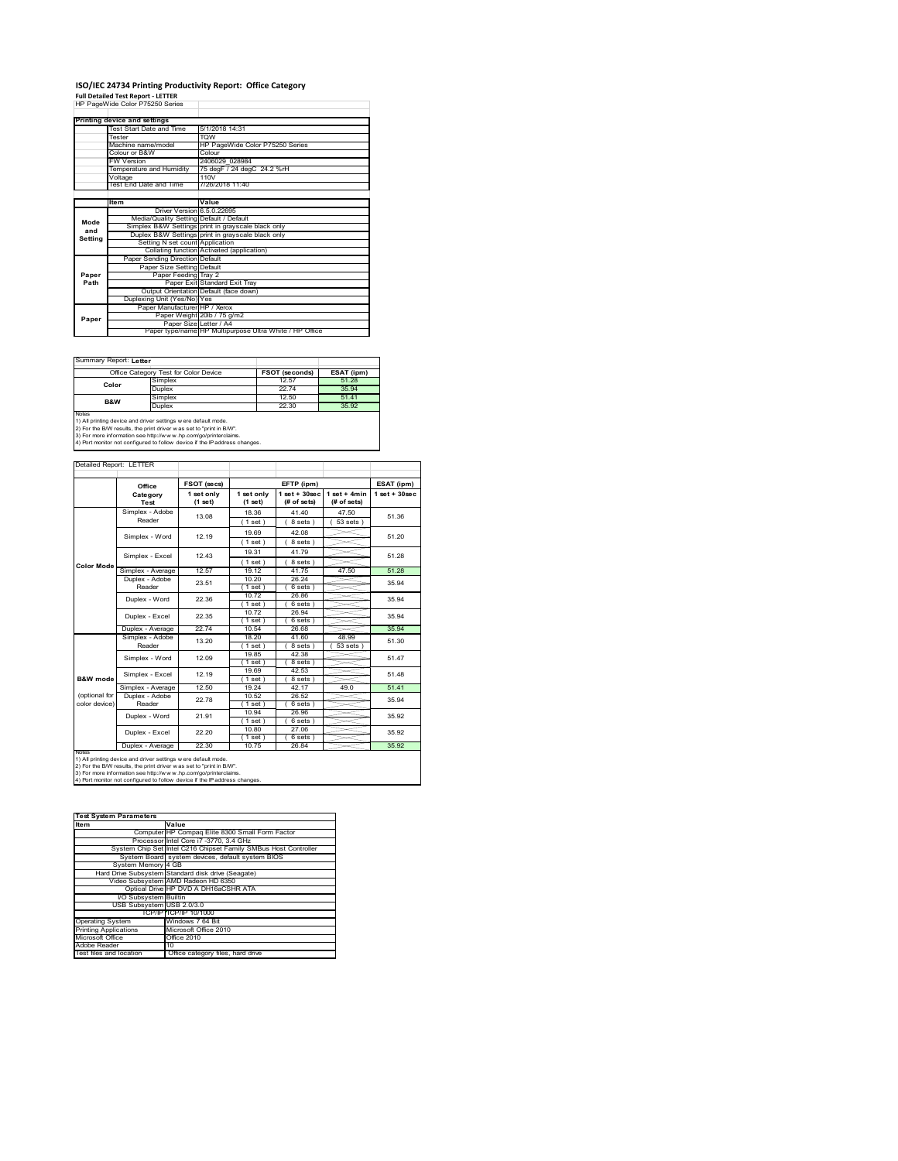# **ISO/IEC 24734 Printing Productivity Report: Office Category Full Detailed Test Report ‐ LETTER** HP PageWide Color P75250 Series

|         | Printing device and settings            |                                                         |
|---------|-----------------------------------------|---------------------------------------------------------|
|         | Test Start Date and Time                | 5/1/2018 14:31                                          |
|         | Tester                                  | <b>TOW</b>                                              |
|         | Machine name/model                      | HP PageWide Color P75250 Series                         |
|         | Colour or B&W                           | Colour                                                  |
|         | FW Version                              | 2406029 028984                                          |
|         | Temperature and Humidity                | 75 degF / 24 degC 24.2 %rH                              |
|         | Voltage                                 | 110V                                                    |
|         | Test End Date and Time                  | 7/26/2018 11:40                                         |
|         |                                         |                                                         |
|         | ltem                                    | Value                                                   |
|         | Driver Version 6.5.0.22695              |                                                         |
| Mode    | Media/Quality Setting Default / Default |                                                         |
| and     |                                         | Simplex B&W Settings print in grayscale black only      |
| Setting |                                         | Duplex B&W Settings print in grayscale black only       |
|         | Setting N set count Application         |                                                         |
|         |                                         | Collating function Activated (application)              |
|         | Paper Sending Direction Default         |                                                         |
|         | Paper Size Setting Default              |                                                         |
| Paper   | Paper Feeding Tray 2                    |                                                         |
| Path    |                                         | Paper Exit Standard Exit Tray                           |
|         |                                         | Output Orientation Default (face down)                  |
|         | Duplexing Unit (Yes/No) Yes             |                                                         |
|         | Paper Manufacturer HP / Xerox           |                                                         |
| Paper   |                                         | Paper Weight 20lb / 75 g/m2                             |
|         | Paper Size Letter / A4                  |                                                         |
|         |                                         | Paper type/name HP Multipurpose Ultra White / HP Office |

Ï

Summary Report: **Letter**

|                                                                     | Office Category Test for Color Device | <b>FSOT (seconds)</b> | ESAT (ipm) |  |  |  |
|---------------------------------------------------------------------|---------------------------------------|-----------------------|------------|--|--|--|
| Color                                                               | Simplex                               | 12.57                 | 51.28      |  |  |  |
|                                                                     | Duplex                                | 2274                  | 35 94      |  |  |  |
| B&W                                                                 | Simplex                               | 12.50                 | 51.41      |  |  |  |
|                                                                     | Duplex                                | 22.30                 | 35.92      |  |  |  |
| <b>Notes</b>                                                        |                                       |                       |            |  |  |  |
| 1) All printing device and driver settings w ere default mode.      |                                       |                       |            |  |  |  |
| 2) For the B/W results, the print driver was set to "print in B/W". |                                       |                       |            |  |  |  |
|                                                                     |                                       |                       |            |  |  |  |

3) For more information see http://w w w .hp.com/go/printerclaims. 4) Port monitor not configured to follow device if the IP address changes.

| Detailed Report: LETTER        |                           |                       |                       |                                  |                               |                    |
|--------------------------------|---------------------------|-----------------------|-----------------------|----------------------------------|-------------------------------|--------------------|
|                                | Office                    | FSOT (secs)           |                       | EFTP (ipm)                       |                               | ESAT (ipm)         |
|                                | Category<br>Test          | 1 set only<br>(1 set) | 1 set only<br>(1 set) | $1$ set $+30$ sec<br>(# of sets) | $1$ set + 4min<br>(# of sets) | $1$ set + $30$ sec |
|                                | Simplex - Adobe<br>Reader | 13.08                 | 18.36<br>$1$ set)     | 41 40<br>8 sets)                 | 47.50<br>$53 sets$ )          | 51.36              |
|                                | Simplex - Word            | 12 19                 | 19.69<br>$1$ set)     | 42.08<br>8 sets)                 |                               | 51 20              |
| <b>Color Mode</b>              | Simplex - Excel           | 12 43                 | 19.31<br>(1 set)      | 41 79<br>8 sets)                 |                               | 51 28              |
|                                | Simplex - Average         | 12.57                 | 19.12                 | 41.75                            | 47.50                         | 51.28              |
|                                | Duplex - Adobe<br>Reader  | 23.51                 | 10.20<br>$1$ set)     | 26.24<br>6 sets)                 |                               | 35.94              |
|                                | Duplex - Word             | 22.36                 | 10.72<br>$1$ set)     | 26.86<br>$6 sets$ )              |                               | 35.94              |
|                                | Duplex - Excel            | 22.35                 | 1072<br>$1$ set)      | 26.94<br>6 sets)                 |                               | 35 94              |
|                                | Duplex - Average          | 22.74                 | 10.54                 | 26.68                            |                               | 35.94              |
|                                | Simplex - Adobe<br>Reader | 13.20                 | 18.20<br>$1$ set $)$  | 41.60<br>8 sets)                 | 48.99<br>53 sets              | 51.30              |
|                                | Simplex - Word            | 12.09                 | 1985<br>$1$ set)      | 42.38<br>8 sets)                 |                               | 51.47              |
| <b>B&amp;W</b> mode            | Simplex - Excel           | 12 19                 | 19.69<br>(1 set)      | 42.53<br>8 sets)                 |                               | 51 48              |
|                                | Simplex - Average         | 12.50                 | 19 24                 | 42.17                            | 49.0                          | 51.41              |
| (optional for<br>color device) | Duplex - Adobe<br>Reader  | 22.78                 | 10.52<br>(1 set)      | 26.52<br>$6 sets$ )              |                               | 35 94              |
|                                | Duplex - Word             | 21.91                 | 10.94<br>$1$ set)     | 26.96<br>6 sets)                 |                               | 35.92              |
|                                | Duplex - Excel            | 22.20                 | 10.80<br>(1 set)      | 27.06<br>6 sets)                 |                               | 35.92              |
|                                | Duplex - Average          | 22.30                 | 10.75                 | 26.84                            |                               | 35.92              |
| <b>NOtes</b>                   |                           |                       |                       |                                  |                               |                    |

notes<br>1) All printing device and driver settings were default mode.<br>2) For the B/W results, the print driver was set to "print in B/W".<br>3) For more information see http://www.hp.com/go/printerclaims.<br>4) Por morator not con

| <b>Test System Parameters</b> |                                                                 |  |  |  |  |
|-------------------------------|-----------------------------------------------------------------|--|--|--|--|
| <b>Item</b>                   | Value                                                           |  |  |  |  |
|                               | Computer HP Compag Elite 8300 Small Form Factor                 |  |  |  |  |
|                               | Processor Intel Core i7 -3770, 3.4 GHz                          |  |  |  |  |
|                               | System Chip Set Intel C216 Chipset Family SMBus Host Controller |  |  |  |  |
|                               | System Board system devices, default system BIOS                |  |  |  |  |
| System Memory 4 GB            |                                                                 |  |  |  |  |
|                               | Hard Drive Subsystem Standard disk drive (Seagate)              |  |  |  |  |
|                               | Video Subsystem AMD Radeon HD 6350                              |  |  |  |  |
|                               | Optical Drive HP DVD A DH16aCSHR ATA                            |  |  |  |  |
| I/O Subsystem Builtin         |                                                                 |  |  |  |  |
| USB Subsystem USB 2.0/3.0     |                                                                 |  |  |  |  |
|                               | TCP/IPITCP/IP 10/1000                                           |  |  |  |  |
| <b>Operating System</b>       | Windows 7 64 Bit                                                |  |  |  |  |
| <b>Printing Applications</b>  | Microsoft Office 2010                                           |  |  |  |  |
| Microsoft Office              | Office 2010                                                     |  |  |  |  |
| Adobe Reader                  | 10                                                              |  |  |  |  |
| Test files and location       | Office category files, hard drive                               |  |  |  |  |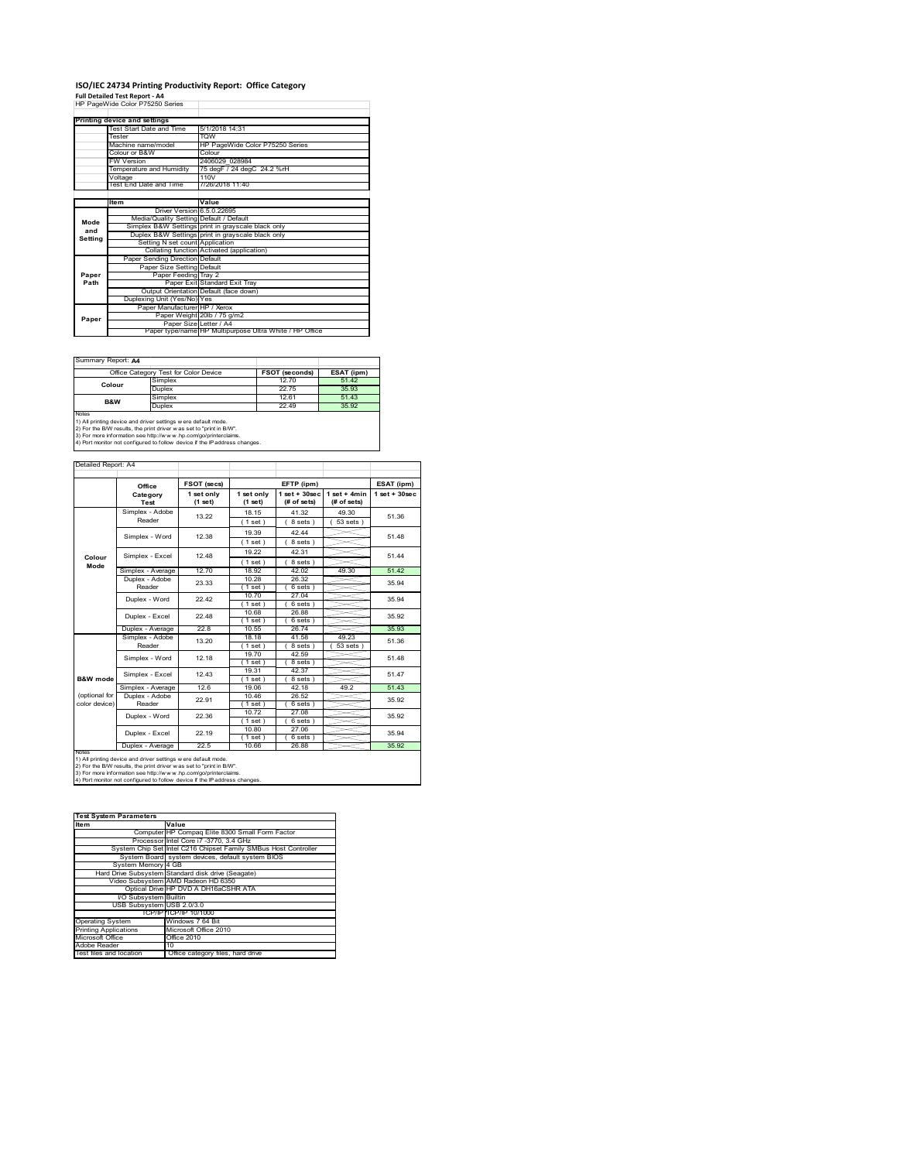### **ISO/IEC 24734 Printing Productivity Report: Office Category**  $\overline{1}$

**Full Detailed Test Report ‐ A4** HP PageWide Color P75250 Series

|         | Printing device and settings            |                                                         |
|---------|-----------------------------------------|---------------------------------------------------------|
|         | Test Start Date and Time                | 5/1/2018 14:31                                          |
|         | Tester                                  | <b>TOW</b>                                              |
|         | Machine name/model                      | HP PageWide Color P75250 Series                         |
|         | Colour or B&W                           | Colour                                                  |
|         | <b>FW Version</b>                       | 2406029 028984                                          |
|         | Temperature and Humidity                | 75 degF / 24 degC 24.2 %rH                              |
|         | Voltage                                 | 110V                                                    |
|         | Test End Date and Time                  | 7/26/2018 11:40                                         |
|         |                                         |                                                         |
|         | Item                                    | Value                                                   |
|         | Driver Version 6.5.0.22695              |                                                         |
| Mode    | Media/Quality Setting Default / Default |                                                         |
| and     |                                         | Simplex B&W Settings print in grayscale black only      |
| Setting |                                         | Duplex B&W Settings print in grayscale black only       |
|         | Setting N set count Application         |                                                         |
|         |                                         | Collating function Activated (application)              |
|         | Paper Sending Direction Default         |                                                         |
|         | Paper Size Setting Default              |                                                         |
| Paper   | Paper Feeding Tray 2                    |                                                         |
| Path    |                                         | Paper Exit Standard Exit Tray                           |
|         |                                         | Output Orientation Default (face down)                  |
|         | Duplexing Unit (Yes/No) Yes             |                                                         |
|         | Paper Manufacturer HP / Xerox           |                                                         |
| Paper   |                                         | Paper Weight 20lb / 75 g/m2                             |
|         | Paper Size Letter / A4                  |                                                         |
|         |                                         | Paper type/name HP Multipurpose Ultra White / HP Office |

Ĩ.

Summary Report: **A4**

| $55.001$ $\ldots$ $10.0001$ $\ldots$ $10.000$                                                                                                         |                                       |                       |            |  |  |
|-------------------------------------------------------------------------------------------------------------------------------------------------------|---------------------------------------|-----------------------|------------|--|--|
|                                                                                                                                                       | Office Category Test for Color Device | <b>FSOT (seconds)</b> | ESAT (ipm) |  |  |
| Colour                                                                                                                                                | Simplex                               | 12.70                 | 51.42      |  |  |
|                                                                                                                                                       | Duplex                                | 2275                  | 35.93      |  |  |
| B&W                                                                                                                                                   | Simplex                               | 12.61                 | 51.43      |  |  |
|                                                                                                                                                       | Duplex                                | 22 49                 | 35.92      |  |  |
| <b>Notes</b><br>1) All printing device and driver settings w ere default mode.<br>2) For the B/W results, the print driver was set to "print in B/W". |                                       |                       |            |  |  |

|                                | 3) For more information see http://www.hp.com/go/printerclaims.<br>4) Port monitor not configured to follow device if the IP address changes. |                       |                       |                                   |                               |                   |
|--------------------------------|-----------------------------------------------------------------------------------------------------------------------------------------------|-----------------------|-----------------------|-----------------------------------|-------------------------------|-------------------|
| Detailed Report: A4            |                                                                                                                                               |                       |                       |                                   |                               |                   |
|                                | Office                                                                                                                                        | FSOT (secs)           |                       | EFTP (ipm)                        |                               | ESAT (ipm)        |
|                                | Category<br>Test                                                                                                                              | 1 set only<br>(1 set) | 1 set only<br>(1 set) | $1$ set + $30$ sec<br>(# of sets) | $1$ set + 4min<br>(# of sets) | $1$ set $+30$ sec |
|                                | Simplex - Adobe<br>Reader                                                                                                                     | 13.22                 | 18.15<br>(1 set )     | 41.32<br>8 sets)                  | 49.30<br>$53 sets$ )          | 51.36             |
|                                | Simplex - Word                                                                                                                                | 12.38                 | 19.39<br>(1 set)      | 42.44<br>8 sets)                  |                               | 51.48             |
| Colour<br>Mode                 | Simplex - Excel                                                                                                                               | 12.48                 | 19.22<br>(1 set)      | 42.31<br>8 sets)                  |                               | 51.44             |
|                                | Simplex - Average                                                                                                                             | 12.70                 | 18.92                 | 42.02                             | 49.30                         | 51.42             |
|                                | Duplex - Adobe<br>Reader                                                                                                                      | 23.33                 | 10.28<br>(1 set)      | 26.32<br>6 sets)                  |                               | 35.94             |
|                                | Duplex - Word                                                                                                                                 | 22.42                 | 10.70<br>(1 set)      | 27.04<br>6 sets)                  |                               | 35.94             |
|                                | Duplex - Excel                                                                                                                                | 22.48                 | 10.68<br>(1 set)      | 26.88<br>6 sets)                  |                               | 35.92             |
|                                | Duplex - Average                                                                                                                              | 22.8                  | 10.55                 | 26.74                             |                               | 35.93             |
|                                | Simplex - Adobe<br>Reader                                                                                                                     | 13.20                 | 18.18<br>(1 set)      | 41.58<br>8 sets)                  | 49.23<br>53 sets              | 51.36             |
|                                | Simplex - Word                                                                                                                                | 12.18                 | 19.70<br>(1 set)      | 42.59<br>8 sets                   |                               | 51.48             |
| <b>B&amp;W</b> mode            | Simplex - Excel                                                                                                                               | 12.43                 | 19.31<br>(1 set)      | 42.37<br>8 sets)                  |                               | 51.47             |
|                                | Simplex - Average                                                                                                                             | 12.6                  | 19.06                 | 42.18                             | 49.2                          | 51.43             |
| (optional for<br>color device) | Duplex - Adobe<br>Reader                                                                                                                      | 22.91                 | 10.46<br>(1 set)      | 26.52<br>6 sets)                  |                               | 35.92             |
|                                | Duplex - Word                                                                                                                                 | 22.36                 | 10.72<br>(1 set)      | 27.08<br>6 sets)                  |                               | 35.92             |
|                                | Duplex - Excel                                                                                                                                | 22.19                 | 10.80<br>$1$ set)     | 27.06<br>6 sets                   |                               | 35.94             |
|                                | Duplex - Average                                                                                                                              | 22.5                  | 10.66                 | 26.88                             |                               | 35.92             |

**NORS**<br>NORS THE CHARGE CONSIDER THE VEHICLE STATE OF THE VEHICLE STATE OF THE VEHICLE OF THE VEHICLE OF THE VEHICLE OF THE VEHICLE OF THE VEHICLE OF THE VEHICLE OF THE VEHICLE OF THE VEHICLE OF THE VEHICLE OF THE VEHICLE O

**If**  $\mathbf{V}$ **alue** Computer HP Compaq Elite 8300 Small Form Factor Processor Intel Core i7 -3770, 3.4 GH<br>System Chip Set Intel C216 Chipset Family tel C216 Chipset Family SMBus Host Controlle System Board system de System Memory 4 GB Hard Drive Subsystem Standard disk drive (Seagate) Video Subsystem AMD Radeon HD 6350 Optical Drive HP DVD A DH16aCSHR ATA I/O Subsystem Builtin USB Subsystem USB 2.0/3.0 TCP/IP TCP/IP 10/1000 rating System g Applications Microsoft Office 2010 ft Offi e Reader<br>files and location Office category files, hard drive **Test System Parameters**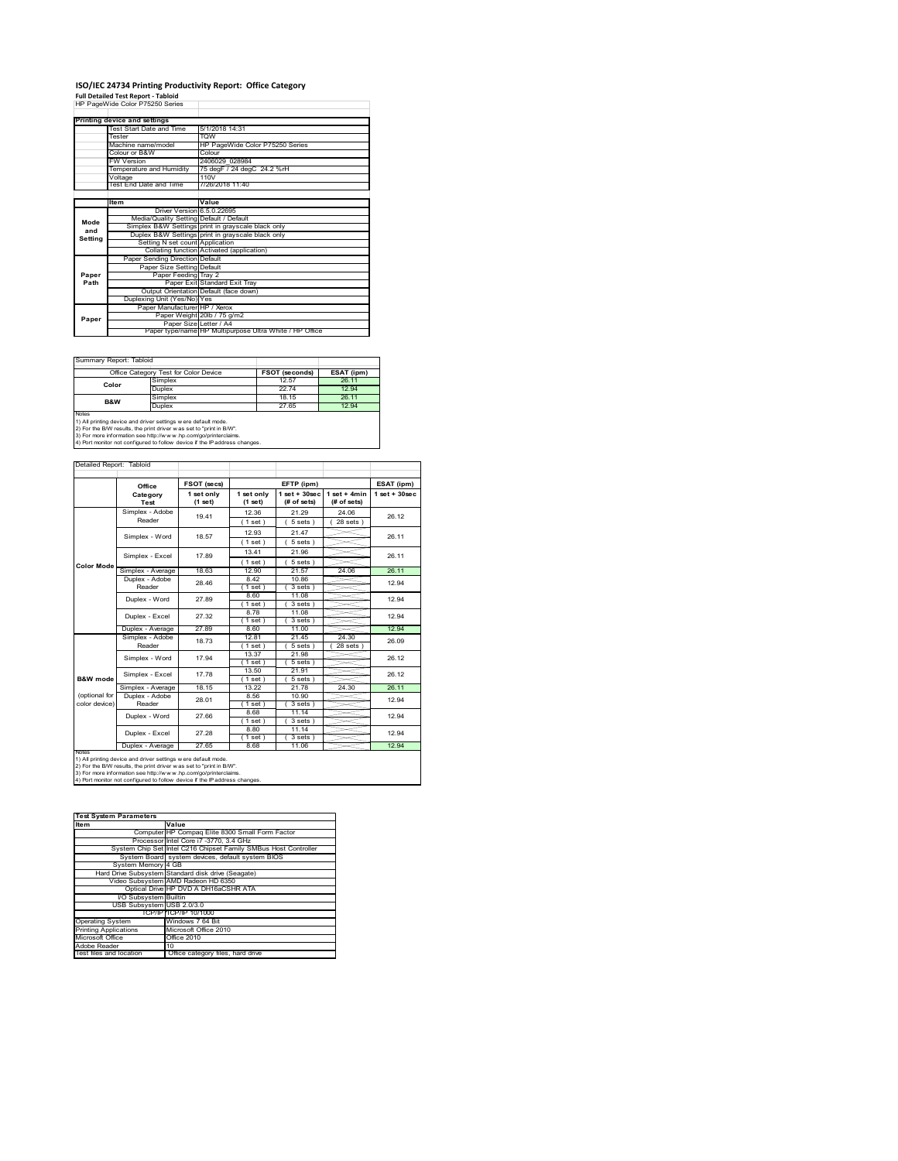# **ISO/IEC 24734 Printing Productivity Report: Office Category<br>Full Detailed Test Report - Tabloid<br>HP PageWide Color P75250 Series**

|         | Printing device and settings            |                                                         |
|---------|-----------------------------------------|---------------------------------------------------------|
|         | Test Start Date and Time                | 5/1/2018 14:31                                          |
|         | Tester                                  | <b>TOW</b>                                              |
|         | Machine name/model                      | HP PageWide Color P75250 Series                         |
|         | Colour or B&W                           | Colour                                                  |
|         | <b>FW Version</b>                       | 2406029 028984                                          |
|         | Temperature and Humidity                | 75 degF / 24 degC 24.2 %rH                              |
|         | Voltage                                 | 110V                                                    |
|         | Test End Date and Time                  | 7/26/2018 11:40                                         |
|         |                                         |                                                         |
|         | ltem                                    | Value                                                   |
|         | Driver Version 6.5.0.22695              |                                                         |
| Mode    | Media/Quality Setting Default / Default |                                                         |
| and     |                                         | Simplex B&W Settings print in grayscale black only      |
| Setting |                                         | Duplex B&W Settings print in grayscale black only       |
|         | Setting N set count Application         |                                                         |
|         |                                         | Collating function Activated (application)              |
|         | Paper Sending Direction Default         |                                                         |
|         | Paper Size Setting Default              |                                                         |
| Paper   | Paper Feeding Tray 2                    |                                                         |
| Path    |                                         | Paper Exit Standard Exit Tray                           |
|         |                                         | Output Orientation Default (face down)                  |
|         | Duplexing Unit (Yes/No) Yes             |                                                         |
|         | Paper Manufacturer HP / Xerox           |                                                         |
| Paper   |                                         | Paper Weight 20lb / 75 g/m2                             |
|         | Paper Size Letter / A4                  |                                                         |
|         |                                         | Paper type/name HP Multipurpose Ultra White / HP Office |

Ī.

Summary Report: Tabloid

|                                                                                                                                                                                                                                                                                                 | Office Category Test for Color Device | <b>FSOT (seconds)</b> | ESAT (ipm) |  |
|-------------------------------------------------------------------------------------------------------------------------------------------------------------------------------------------------------------------------------------------------------------------------------------------------|---------------------------------------|-----------------------|------------|--|
| Color                                                                                                                                                                                                                                                                                           | Simplex                               | 12.57                 | 26.11      |  |
|                                                                                                                                                                                                                                                                                                 | Duplex                                | 2274                  | 12.94      |  |
| <b>B&amp;W</b>                                                                                                                                                                                                                                                                                  | Simplex                               | 18.15                 | 26.11      |  |
|                                                                                                                                                                                                                                                                                                 | 27.65<br>Duplex                       |                       | 12.94      |  |
| Notes<br>1) All printing device and driver settings w ere default mode.<br>2) For the B/W results, the print driver was set to "print in B/W".<br>3) For more information see http://www.hp.com/go/printerclaims.<br>4) Port monitor not configured to follow device if the IP address changes. |                                       |                       |            |  |

|                     | Office                                                              | FSOT (secs)             | EFTP (ipm)            |                                  | ESAT (ipm)                    |                    |
|---------------------|---------------------------------------------------------------------|-------------------------|-----------------------|----------------------------------|-------------------------------|--------------------|
|                     | Category<br>Test                                                    | 1 set only<br>$(1$ set) | 1 set only<br>(1 set) | $1$ set $+30$ sec<br>(# of sets) | $1$ set + 4min<br>(# of sets) | $1$ set + $30$ sec |
|                     | Simplex - Adobe                                                     | 19.41                   | 12.36                 | 21.29                            | 24.06                         | 26.12              |
|                     | Reader                                                              |                         | (1 set)               | 5 sets                           | $28$ sets $)$                 |                    |
|                     | Simplex - Word                                                      | 18.57                   | 12.93                 | 21.47                            |                               | 26 11              |
|                     |                                                                     |                         | (1 set)               | 5 sets)                          |                               |                    |
|                     | Simplex - Excel                                                     | 17.89                   | 13.41                 | 21.96                            |                               | 26.11              |
| <b>Color Mode</b>   |                                                                     |                         | (1 set)               | $5 sets$ )                       |                               |                    |
|                     | Simplex - Average                                                   | 18.63                   | 12.90                 | 21.57                            | 24.06                         | 26.11              |
|                     | Duplex - Adobe                                                      | 28.46                   | 8.42                  | 10.86                            |                               | 12.94              |
|                     | Reader                                                              |                         | $1$ set)              | 3 sets)                          |                               |                    |
|                     | Duplex - Word                                                       | 27.89                   | 8.60                  | 11.08                            |                               | 12.94              |
|                     |                                                                     |                         | (1 set)               | 3 sets 1                         |                               |                    |
|                     | Duplex - Excel                                                      | 27.32                   | 8.78                  | 11.08                            |                               | 12.94              |
|                     |                                                                     | 27.89                   | $1$ set)<br>8.60      | 3 sets)<br>11.00                 |                               | 12.94              |
|                     | Duplex - Average                                                    |                         |                       |                                  |                               |                    |
|                     | Simplex - Adobe<br>Reader                                           | 18.73                   | 12.81<br>1 set        | 21.45<br>5 sets                  | 24.30<br>28 sets              | 26.09              |
|                     |                                                                     |                         | 13.37                 | 21.98                            |                               |                    |
|                     | Simplex - Word                                                      | 17.94                   | (1 set)               | 5 sets )                         |                               | 26.12              |
|                     |                                                                     | 17 78                   | 13.50                 | 21.91                            |                               |                    |
| <b>B&amp;W</b> mode | Simplex - Excel                                                     |                         | (1 set)               | 5 sets)                          |                               | 26.12              |
|                     | Simplex - Average                                                   | 18.15                   | 13.22                 | 21.78                            | 24.30                         | 26.11              |
| (optional for       | Duplex - Adobe                                                      | 28.01                   | 8.56                  | 10.90                            |                               | 12.94              |
| color device)       | Reader                                                              |                         | $1$ set)              | 3 sets)                          |                               |                    |
|                     | Duplex - Word                                                       | 27.66                   | 8.68                  | 11.14                            |                               | 12.94              |
|                     |                                                                     |                         | (1 set)               | 3 sets)                          |                               |                    |
|                     | Duplex - Excel                                                      | 27.28                   | 8.80                  | 11.14                            |                               | 12.94              |
|                     |                                                                     |                         | $1$ set)              | 3 sets)                          |                               |                    |
|                     | 27.65<br>12.94<br>Duplex - Average<br>8.68<br>11.06<br><b>NOTAS</b> |                         |                       |                                  |                               |                    |

| <b>Test System Parameters</b> |                                                                 |  |  |  |  |
|-------------------------------|-----------------------------------------------------------------|--|--|--|--|
| <b>Item</b>                   | Value                                                           |  |  |  |  |
|                               | Computer HP Compag Elite 8300 Small Form Factor                 |  |  |  |  |
|                               | Processor Intel Core i7 -3770, 3.4 GHz                          |  |  |  |  |
|                               | System Chip Set Intel C216 Chipset Family SMBus Host Controller |  |  |  |  |
|                               | System Board system devices, default system BIOS                |  |  |  |  |
| System Memory 4 GB            |                                                                 |  |  |  |  |
|                               | Hard Drive Subsystem Standard disk drive (Seagate)              |  |  |  |  |
|                               | Video Subsystem AMD Radeon HD 6350                              |  |  |  |  |
|                               | Optical Drive HP DVD A DH16aCSHR ATA                            |  |  |  |  |
| I/O Subsystem Builtin         |                                                                 |  |  |  |  |
| USB Subsystem USB 2.0/3.0     |                                                                 |  |  |  |  |
|                               | TCP/IPITCP/IP 10/1000                                           |  |  |  |  |
| <b>Operating System</b>       | Windows 7 64 Bit                                                |  |  |  |  |
| <b>Printing Applications</b>  | Microsoft Office 2010                                           |  |  |  |  |
| Microsoft Office              | Office 2010                                                     |  |  |  |  |
| Adobe Reader                  | 10                                                              |  |  |  |  |
| Test files and location       | Office category files, hard drive                               |  |  |  |  |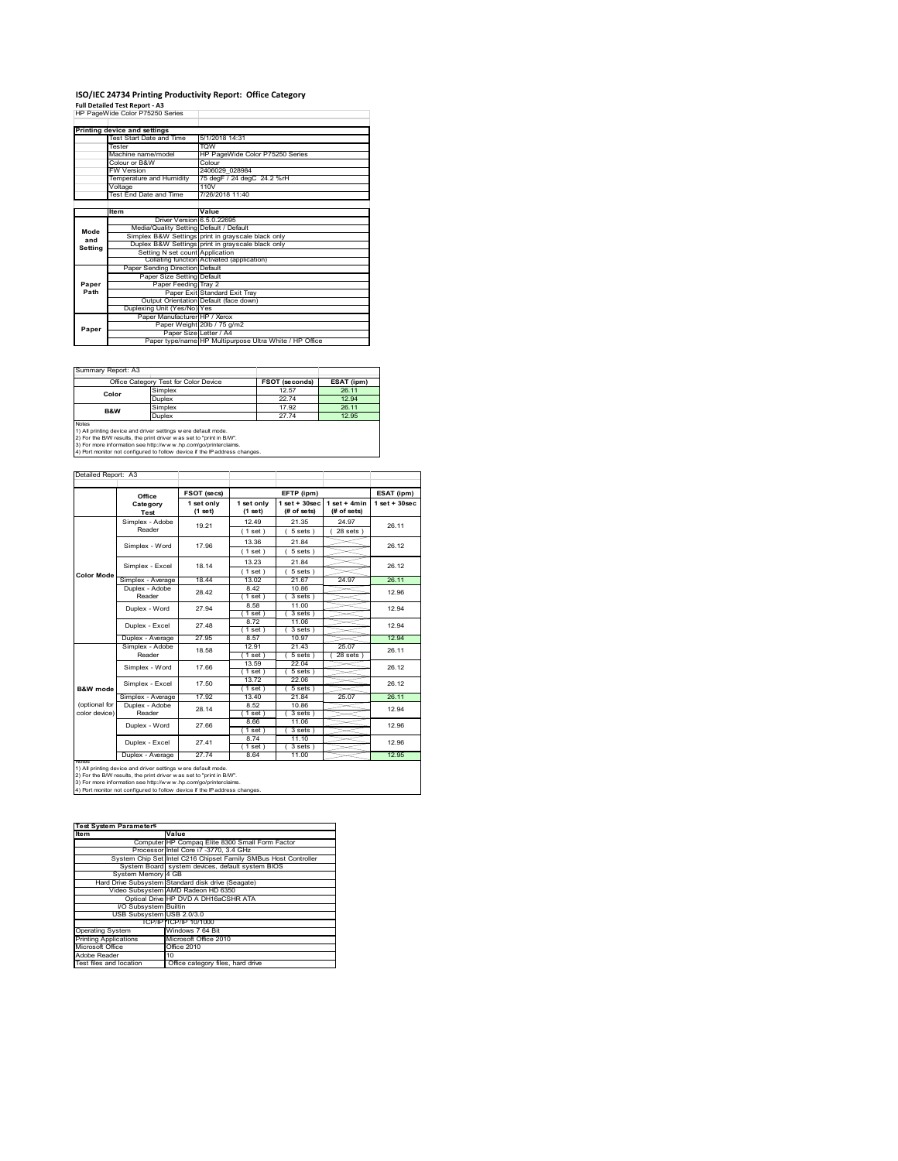# **ISO/IEC 24734 Printing Productivity Report: Office Category<br>Full Detailed Test Report - A3<br>HP PageWide Color P75250 Series**

| Printing device and settings |                                         |                                                         |  |  |  |
|------------------------------|-----------------------------------------|---------------------------------------------------------|--|--|--|
|                              | Test Start Date and Time                | 5/1/2018 14:31                                          |  |  |  |
|                              | Tester                                  | <b>TOW</b>                                              |  |  |  |
|                              | Machine name/model                      | HP PageWide Color P75250 Series                         |  |  |  |
|                              | Colour or B&W                           | Colour                                                  |  |  |  |
|                              | <b>FW Version</b>                       | 2406029 028984                                          |  |  |  |
|                              | Temperature and Humidity                | 75 degF / 24 degC 24.2 %rH                              |  |  |  |
|                              | Voltage                                 | 110V                                                    |  |  |  |
|                              | Test End Date and Time                  | 7/26/2018 11:40                                         |  |  |  |
|                              |                                         |                                                         |  |  |  |
|                              | Item                                    | Value                                                   |  |  |  |
|                              | Driver Version 6.5.0.22695              |                                                         |  |  |  |
| Mode                         | Media/Quality Setting Default / Default |                                                         |  |  |  |
| and                          |                                         | Simplex B&W Settings print in grayscale black only      |  |  |  |
| Setting                      |                                         | Duplex B&W Settings print in grayscale black only       |  |  |  |
|                              | Setting N set count Application         |                                                         |  |  |  |
|                              |                                         | Collating function Activated (application)              |  |  |  |
|                              | Paper Sending Direction Default         |                                                         |  |  |  |
|                              | Paper Size Setting Default              |                                                         |  |  |  |
| Paper                        | Paper Feeding Tray 2                    |                                                         |  |  |  |
| Path                         |                                         | Paper Exit Standard Exit Tray                           |  |  |  |
|                              |                                         | Output Orientation Default (face down)                  |  |  |  |
|                              | Duplexing Unit (Yes/No) Yes             |                                                         |  |  |  |
|                              | Paper Manufacturer HP / Xerox           |                                                         |  |  |  |
| Paper                        |                                         | Paper Weight 20lb / 75 g/m2                             |  |  |  |
|                              | Paper Size Letter / A4                  |                                                         |  |  |  |
|                              |                                         | Paper type/name HP Multipurpose Ultra White / HP Office |  |  |  |

|       | Office Category Test for Color Device | FSOT (seconds) | ESAT (ipm) |
|-------|---------------------------------------|----------------|------------|
| Color | Simplex                               | 12.57          | 26.11      |
|       | Duplex                                | 2274           | 12.94      |
| B&W   | Simplex                               | 17.92          | 26.11      |
|       | Duplex                                | 2774           | 12.95      |

1) All printing device and driver settings were default mode.<br>2) For the B/W results, the print driver was set to "print in B/W".<br>3) For more information see http://www.hp.com/go/printerclaims.<br>4) Port monitor not configur

|                   |                   | FSOT (secs)           |                       | EFTP (ipm)                       |                               | ESAT (ipm)         |
|-------------------|-------------------|-----------------------|-----------------------|----------------------------------|-------------------------------|--------------------|
|                   | Office            |                       |                       |                                  |                               |                    |
|                   | Category<br>Test  | 1 set only<br>(1 set) | 1 set only<br>(1 set) | $1$ set $+30$ sec<br>(# of sets) | $1$ set + 4min<br>(# of sets) | $1$ set + $30$ sec |
|                   | Simplex - Adobe   | 19 21                 | 12 49                 | 21.35                            | 24 97                         | 26.11              |
|                   | Reader            |                       | (1 set)               | 5 sets)                          | $28$ sets $)$                 |                    |
|                   | Simplex - Word    | 17.96                 | 13.36                 | 21.84                            |                               | 26.12              |
|                   |                   |                       | (1 set)               | $5 sets$ )                       |                               |                    |
|                   | Simplex - Excel   | 18.14                 | 13.23                 | 21.84                            |                               | 26.12              |
| <b>Color Mode</b> |                   |                       | (1 set)               | $5 sets$ )                       |                               |                    |
|                   | Simplex - Average | 18.44                 | 13.02                 | 21.67                            | 24.97                         | 26.11              |
|                   | Duplex - Adobe    | 28.42                 | 8.42                  | 10.86                            |                               | 12.96              |
|                   | Reader            |                       | $1$ set)              | 3 sets 1                         |                               |                    |
|                   | Duplex - Word     | 27.94                 | 8.58                  | 11.00                            |                               | 12.94              |
|                   |                   |                       | $1$ set $)$           | 3 sets)                          |                               |                    |
|                   | Duplex - Excel    | 27 48                 | 8.72                  | 11.06                            |                               | 12 94              |
|                   |                   |                       | 1 set)                | 3 sets)                          |                               |                    |
|                   | Duplex - Average  | 27.95                 | 8.57                  | 10.97                            |                               | 12.94              |
|                   | Simplex - Adobe   | 18.58                 | 12.91                 | 21.43                            | 25.07                         | 26.11              |
|                   | Reader            |                       | $1$ set)              | 5 sets 1                         | $28$ sets $)$                 |                    |
|                   | Simplex - Word    | 17.66                 | 13.59                 | 22.04                            |                               | 26.12              |
|                   |                   |                       | 1 set)                | 5 sets)                          |                               |                    |
|                   | Simplex - Excel   | 17.50                 | 1372                  | 22.06                            |                               | 26.12              |
| B&W mode          |                   |                       | $1$ set)              | $5 sets$ )                       |                               |                    |
|                   | Simplex - Average | 17.92                 | 1340                  | 2184                             | 25.07                         | 26 11              |
| (optional for     | Duplex - Adobe    | 28.14                 | 8.52                  | 10.86                            |                               | 12.94              |
| color device)     | Reader            |                       | $1$ set)              | $3 sets$ )                       |                               |                    |
|                   |                   | 27.66                 | 8.66                  | 11.06                            |                               | 12.96              |
|                   | Duplex - Word     |                       | $1$ set)              | $3 sets$ )                       |                               |                    |
|                   | Duplex - Excel    | 2741                  | 8.74                  | 11.10                            |                               | 12.96              |
|                   |                   |                       | 1 set)                | $3 sets$ )                       |                               |                    |
|                   | Duplex - Average  | 2774                  | 8.64                  | 11.00                            |                               | 12.95              |

notes<br>1) All printing device and driver settings were default mode.<br>2) For the BAV results, the print driver was set to "print in BAV".<br>3) For more information see http://www.hp.com/go/printerclaims.<br>4) For monitor not con

## **Item Value Test System Parameters**

|                              | .                                                               |
|------------------------------|-----------------------------------------------------------------|
|                              | Computer HP Compaq Elite 8300 Small Form Factor                 |
|                              | Processor Intel Core i7 -3770, 3.4 GHz                          |
|                              | System Chip Set Intel C216 Chipset Family SMBus Host Controller |
|                              | System Board system devices, default system BIOS                |
| System Memory 4 GB           |                                                                 |
|                              | Hard Drive Subsystem Standard disk drive (Seagate)              |
|                              | Video Subsystem AMD Radeon HD 6350                              |
|                              | Optical Drive HP DVD A DH16aCSHR ATA                            |
| I/O Subsystem Builtin        |                                                                 |
| USB Subsystem USB 2.0/3.0    |                                                                 |
|                              | TCP/IP ITCP/IP 10/1000                                          |
| <b>Operating System</b>      | Windows 7 64 Bit                                                |
| <b>Printing Applications</b> | Microsoft Office 2010                                           |
| Microsoft Office             | Office 2010                                                     |
| Adobe Reader                 | 10                                                              |
| Test files and location      | Office category files, hard drive                               |
|                              |                                                                 |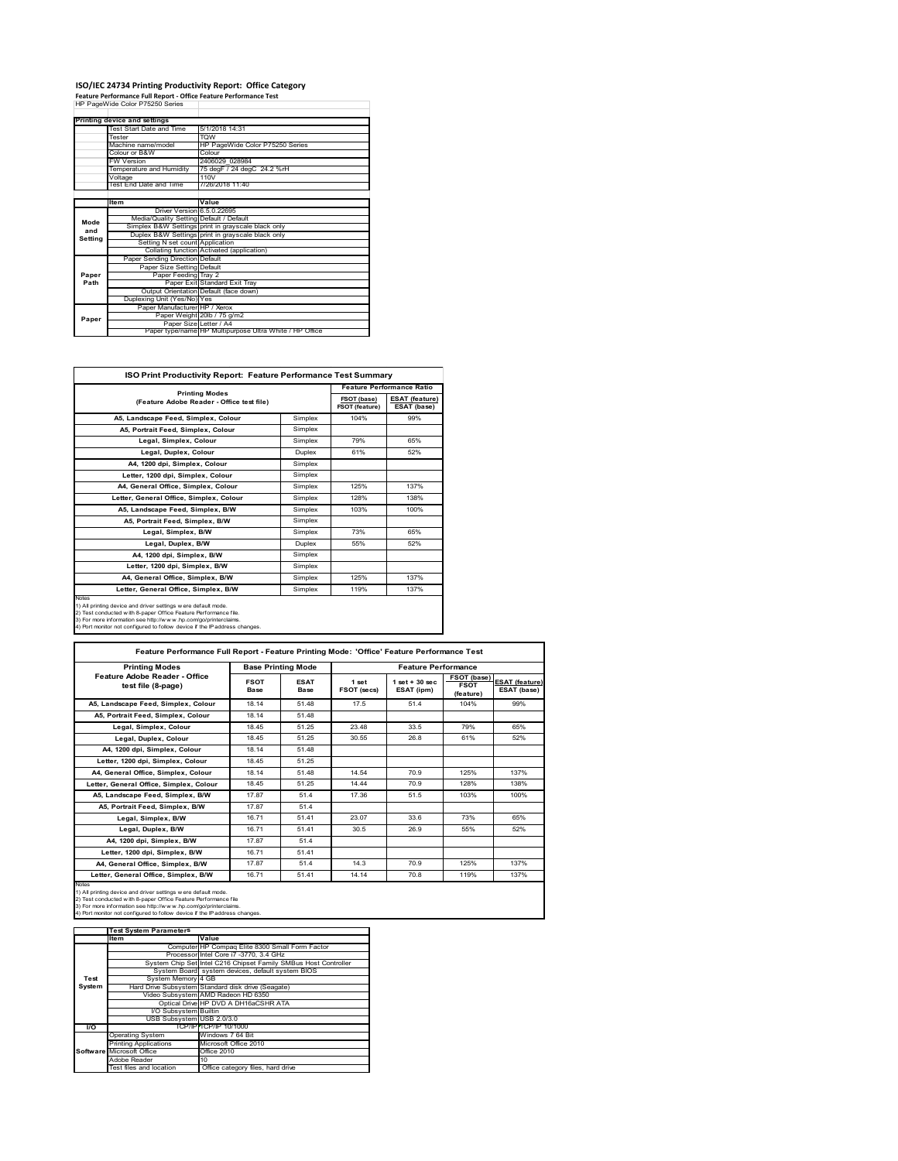#### **ISO/IEC 24734 Printing Productivity Report: Office Category**

**Feature Performance Full Report ‐ Office Feature Performance Test** HP PageWide Color P75250 Series

|         | Printing device and settings            |                                                         |
|---------|-----------------------------------------|---------------------------------------------------------|
|         | Test Start Date and Time                | 5/1/2018 14:31                                          |
|         | Tester                                  | <b>TOW</b>                                              |
|         | Machine name/model                      | HP PageWide Color P75250 Series                         |
|         | Colour or B&W                           | Colour                                                  |
|         | <b>FW Version</b>                       | 2406029 028984                                          |
|         | Temperature and Humidity                | 75 degF / 24 degC 24.2 %rH                              |
|         | Voltage                                 | 110V                                                    |
|         | Test End Date and Time                  | 7/26/2018 11:40                                         |
|         |                                         |                                                         |
|         | Item                                    | Value                                                   |
|         | Driver Version 6.5.0.22695              |                                                         |
| Mode    | Media/Quality Setting Default / Default |                                                         |
| and     |                                         | Simplex B&W Settings print in grayscale black only      |
|         |                                         | Duplex B&W Settings print in grayscale black only       |
| Setting | Setting N set count Application         |                                                         |
|         |                                         | Collating function Activated (application)              |
|         | Paper Sending Direction Default         |                                                         |
|         | Paper Size Setting Default              |                                                         |
| Paper   | Paper Feeding Tray 2                    |                                                         |
| Path    |                                         | Paper Exit Standard Exit Tray                           |
|         |                                         | Output Orientation Default (face down)                  |
|         | Duplexing Unit (Yes/No) Yes             |                                                         |
|         | Paper Manufacturer HP / Xerox           |                                                         |
| Paper   |                                         | Paper Weight 20lb / 75 g/m2                             |
|         |                                         | Paper Size Letter / A4                                  |
|         |                                         | Paper type/name HP Multipurpose Ultra White / HP Office |

| <b>ISO Print Productivity Report: Feature Performance Test Summary</b>                                                                                                                                                                                                                      |               |                                      |                                      |  |  |
|---------------------------------------------------------------------------------------------------------------------------------------------------------------------------------------------------------------------------------------------------------------------------------------------|---------------|--------------------------------------|--------------------------------------|--|--|
| <b>Printing Modes</b>                                                                                                                                                                                                                                                                       |               | <b>Feature Performance Ratio</b>     |                                      |  |  |
| (Feature Adobe Reader - Office test file)                                                                                                                                                                                                                                                   |               | FSOT (base)<br><b>FSOT (feature)</b> | <b>ESAT (feature)</b><br>ESAT (base) |  |  |
| A5, Landscape Feed, Simplex, Colour                                                                                                                                                                                                                                                         | Simplex       | 104%                                 | 99%                                  |  |  |
| A5, Portrait Feed, Simplex, Colour                                                                                                                                                                                                                                                          | Simplex       |                                      |                                      |  |  |
| Legal, Simplex, Colour                                                                                                                                                                                                                                                                      | Simplex       | 79%                                  | 65%                                  |  |  |
| Legal, Duplex, Colour                                                                                                                                                                                                                                                                       | <b>Duplex</b> | 61%                                  | 52%                                  |  |  |
| A4, 1200 dpi, Simplex, Colour                                                                                                                                                                                                                                                               | Simplex       |                                      |                                      |  |  |
| Letter, 1200 dpi, Simplex, Colour                                                                                                                                                                                                                                                           | Simplex       |                                      |                                      |  |  |
| A4, General Office, Simplex, Colour                                                                                                                                                                                                                                                         | Simplex       | 125%                                 | 137%                                 |  |  |
| Letter, General Office, Simplex, Colour                                                                                                                                                                                                                                                     | Simplex       | 128%                                 | 138%                                 |  |  |
| A5, Landscape Feed, Simplex, B/W                                                                                                                                                                                                                                                            | Simplex       | 103%                                 | 100%                                 |  |  |
| A5, Portrait Feed, Simplex, B/W                                                                                                                                                                                                                                                             | Simplex       |                                      |                                      |  |  |
| Legal, Simplex, B/W                                                                                                                                                                                                                                                                         | Simplex       | 73%                                  | 65%                                  |  |  |
| Legal, Duplex, B/W                                                                                                                                                                                                                                                                          | <b>Duplex</b> | 55%                                  | 52%                                  |  |  |
| A4, 1200 dpi, Simplex, B/W                                                                                                                                                                                                                                                                  | Simplex       |                                      |                                      |  |  |
| Letter, 1200 dpi, Simplex, B/W                                                                                                                                                                                                                                                              | Simplex       |                                      |                                      |  |  |
| A4, General Office, Simplex, B/W                                                                                                                                                                                                                                                            | Simplex       | 125%                                 | 137%                                 |  |  |
| Letter, General Office, Simplex, B/W                                                                                                                                                                                                                                                        | Simplex       | 119%                                 | 137%                                 |  |  |
| Notes<br>1) All printing device and driver settings w ere default mode.<br>2) Test conducted with 8-paper Office Feature Performance file.<br>3) For more information see http://www.hp.com/go/printerclaims.<br>4) Port monitor not configured to follow device if the IP address changes. |               |                                      |                                      |  |  |

| <b>Printing Modes</b>                               | <b>Base Printing Mode</b> |                     | <b>Feature Performance</b> |                                  |                                         |                                      |  |
|-----------------------------------------------------|---------------------------|---------------------|----------------------------|----------------------------------|-----------------------------------------|--------------------------------------|--|
| Feature Adobe Reader - Office<br>test file (8-page) | <b>FSOT</b><br>Base       | <b>ESAT</b><br>Base | 1 set<br>FSOT (secs)       | $1$ set $+30$ sec.<br>ESAT (ipm) | FSOT (base)<br><b>FSOT</b><br>(feature) | <b>ESAT (feature)</b><br>ESAT (base) |  |
| A5. Landscape Feed. Simplex. Colour                 | 18 14                     | 51 48               | 17.5                       | 514                              | 104%                                    | 99%                                  |  |
| A5. Portrait Feed. Simplex. Colour                  | 18.14                     | 51.48               |                            |                                  |                                         |                                      |  |
| Legal, Simplex, Colour                              | 1845                      | 51 25               | 23.48                      | 33.5                             | 79%                                     | 65%                                  |  |
| Legal, Duplex, Colour                               | 1845                      | 51 25               | 30.55                      | 26.8                             | 61%                                     | 52%                                  |  |
| A4, 1200 dpi, Simplex, Colour                       | 18 14                     | 51 48               |                            |                                  |                                         |                                      |  |
| Letter, 1200 dpi, Simplex, Colour                   | 1845                      | 51 25               |                            |                                  |                                         |                                      |  |
| A4. General Office. Simplex. Colour                 | 18 14                     | 51.48               | 14.54                      | 70.9                             | 125%                                    | 137%                                 |  |
| Letter, General Office, Simplex, Colour             | 1845                      | 51.25               | 14 44                      | 70.9                             | 128%                                    | 138%                                 |  |
| A5. Landscape Feed. Simplex. B/W                    | 17.87                     | 514                 | 17.36                      | 51.5                             | 103%                                    | 100%                                 |  |
| A5. Portrait Feed. Simplex. B/W                     | 1787                      | 514                 |                            |                                  |                                         |                                      |  |
| Legal, Simplex, B/W                                 | 1671                      | 51 41               | 23.07                      | 33.6                             | 73%                                     | 65%                                  |  |
| Legal, Duplex, B/W                                  | 1671                      | 51 41               | 30.5                       | 26.9                             | 55%                                     | 52%                                  |  |
| A4. 1200 dpi. Simplex, B/W                          | 17.87                     | 51.4                |                            |                                  |                                         |                                      |  |
| Letter, 1200 dpi, Simplex, B/W                      | 1671                      | 51 41               |                            |                                  |                                         |                                      |  |
| A4. General Office. Simplex. B/W                    | 1787                      | 514                 | 14 3                       | 70.9                             | 125%                                    | 137%                                 |  |
| Letter, General Office, Simplex, B/W                | 16.71                     | 51.41               | 14.14                      | 70.8                             | 119%                                    | 137%                                 |  |

Notes<br>1) All printing device and driver settings were default mode.<br>2) Test conducted with 8-paper Office Feature Performance file<br>3) For more information see http://www.hp.com/go/printerclaims.<br>4) Por monitor not configur

|               | <b>Test System Parameters</b> |                                                                 |
|---------------|-------------------------------|-----------------------------------------------------------------|
|               | Item                          | Value                                                           |
|               |                               | Computer HP Compag Elite 8300 Small Form Factor                 |
|               |                               | Processor Intel Core i7 -3770, 3.4 GHz                          |
|               |                               | System Chip Set Intel C216 Chipset Family SMBus Host Controller |
|               |                               | System Board system devices, default system BIOS                |
| Test          | System Memory 4 GB            |                                                                 |
| <b>System</b> |                               | Hard Drive Subsystem Standard disk drive (Seagate)              |
|               |                               | Video Subsystem AMD Radeon HD 6350                              |
|               |                               | Optical Drive HP DVD A DH16aCSHR ATA                            |
|               | I/O Subsystem Builtin         |                                                                 |
|               | USB Subsystem USB 2.0/3.0     |                                                                 |
| <b>VO</b>     |                               | TCP/IPFTCP/IP 10/1000                                           |
|               | <b>Operating System</b>       | Windows 7 64 Bit                                                |
|               | <b>Printing Applications</b>  | Microsoft Office 2010                                           |
|               | Software Microsoft Office     | Office 2010                                                     |
|               | Adobe Reader                  | $10^{1}$                                                        |
|               | Test files and location       | Office category files, hard drive                               |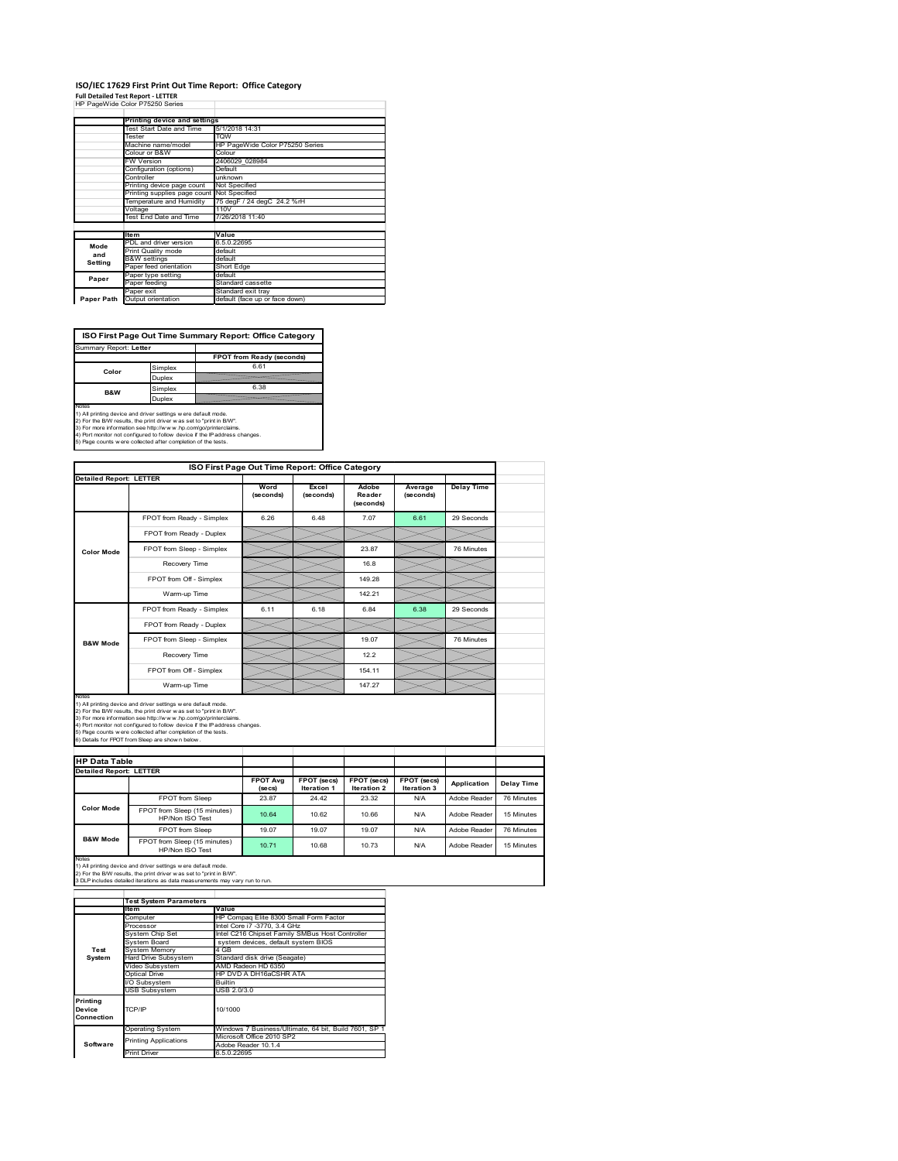### **ISO/IEC 17629 First Print Out Time Report: Office Category Full Detailed Test Report ‐ LETTER** HP PageWide Color P75250 Series

|            | HF Fauewige Color Fig230 Series |                                 |
|------------|---------------------------------|---------------------------------|
|            | Printing device and settings    |                                 |
|            | Test Start Date and Time        | 5/1/2018 14:31                  |
|            | Tester                          | <b>TOW</b>                      |
|            | Machine name/model              | HP PageWide Color P75250 Series |
|            |                                 |                                 |
|            | Colour or B&W                   | Colour                          |
|            | <b>FW Version</b>               | 2406029 028984                  |
|            | Configuration (options)         | Default                         |
|            | Controller                      | unknown                         |
|            | Printing device page count      | Not Specified                   |
|            | Printing supplies page count    | Not Specified                   |
|            | Temperature and Humidity        | 75 degF / 24 degC 24.2 %rH      |
|            | Voltage                         | 110V                            |
|            | Test End Date and Time          | 7/26/2018 11:40                 |
|            |                                 |                                 |
|            | <b>Item</b>                     | Value                           |
| Mode       | PDL and driver version          | 6.5.0.22695                     |
| and        | Print Quality mode              | default                         |
|            | <b>B&amp;W</b> settings         | default                         |
| Setting    | Paper feed orientation          | Short Edge                      |
| Paper      | Paper type setting              | default                         |
|            | Paper feeding                   | Standard cassette               |
|            | Paper exit                      | Standard exit tray              |
| Paper Path | Output orientation              | default (face up or face down)  |

**ISO First Page Out Time Summary Report: Office Category**

| Summary Report: Letter |         |                           |
|------------------------|---------|---------------------------|
|                        |         | FPOT from Ready (seconds) |
| Color                  | Simplex | 6.61                      |
|                        | Duplex  |                           |
| <b>B&amp;W</b>         | Simplex | 6.38                      |
|                        | Duplex  |                           |
| Notes                  |         |                           |

Notes<br>1) All printing device and driver settings were default mode.<br>2) For the BW results, the print driver was set to "print in BW".<br>3) For more information see http://www.hp.com/golprinterclaims.<br>4) Port montor not confi

| ISO First Page Out Time Report: Office Category |                                                                                                                                                                                                                                                                                                                                                                                                             |                            |                            |                                   |                            |                   |
|-------------------------------------------------|-------------------------------------------------------------------------------------------------------------------------------------------------------------------------------------------------------------------------------------------------------------------------------------------------------------------------------------------------------------------------------------------------------------|----------------------------|----------------------------|-----------------------------------|----------------------------|-------------------|
| <b>Detailed Report: LETTER</b>                  |                                                                                                                                                                                                                                                                                                                                                                                                             | Word<br>(seconds)          | Excel<br>(seconds)         | Adobe<br>Reader<br>(seconds)      | Average<br>(seconds)       | <b>Delay Time</b> |
|                                                 | FPOT from Ready - Simplex                                                                                                                                                                                                                                                                                                                                                                                   | 6.26                       | 6.48                       | 7.07                              | 6.61                       | 29 Seconds        |
|                                                 | FPOT from Ready - Duplex                                                                                                                                                                                                                                                                                                                                                                                    |                            |                            |                                   |                            |                   |
| <b>Color Mode</b>                               | FPOT from Sleep - Simplex                                                                                                                                                                                                                                                                                                                                                                                   |                            |                            | 23.87                             |                            | 76 Minutes        |
|                                                 | Recovery Time                                                                                                                                                                                                                                                                                                                                                                                               |                            |                            | 16.8                              |                            |                   |
|                                                 | FPOT from Off - Simplex                                                                                                                                                                                                                                                                                                                                                                                     |                            |                            | 149.28                            |                            |                   |
|                                                 | Warm-up Time                                                                                                                                                                                                                                                                                                                                                                                                |                            |                            | 142.21                            |                            |                   |
|                                                 | FPOT from Ready - Simplex                                                                                                                                                                                                                                                                                                                                                                                   | 6.11                       | 6.18                       | 6.84                              | 6.38                       | 29 Seconds        |
|                                                 | FPOT from Ready - Duplex                                                                                                                                                                                                                                                                                                                                                                                    |                            |                            |                                   |                            |                   |
| <b>B&amp;W Mode</b>                             | FPOT from Sleep - Simplex                                                                                                                                                                                                                                                                                                                                                                                   |                            |                            | 19.07                             |                            | 76 Minutes        |
|                                                 | Recovery Time                                                                                                                                                                                                                                                                                                                                                                                               |                            |                            | 12.2                              |                            |                   |
|                                                 | FPOT from Off - Simplex                                                                                                                                                                                                                                                                                                                                                                                     |                            |                            | 154.11                            |                            |                   |
|                                                 | Warm-up Time                                                                                                                                                                                                                                                                                                                                                                                                |                            |                            |                                   |                            |                   |
| Notes                                           |                                                                                                                                                                                                                                                                                                                                                                                                             |                            |                            | 147.27                            |                            |                   |
|                                                 | 1) All printing device and driver settings w ere default mode.<br>2) For the B/W results, the print driver was set to "print in B/W".<br>3) For more information see http://www.hp.com/go/printerclaims.<br>4) Port monitor not configured to follow device if the IP address changes.<br>5) Page counts w ere collected after completion of the tests.<br>6) Details for FPOT from Sleep are show n below. |                            |                            |                                   |                            |                   |
| <b>HP Data Table</b>                            |                                                                                                                                                                                                                                                                                                                                                                                                             |                            |                            |                                   |                            |                   |
| <b>Detailed Report: LETTER</b>                  |                                                                                                                                                                                                                                                                                                                                                                                                             | <b>FPOT Avg</b><br>(se cs) | FPOT (secs)<br>Iteration 1 | <b>FPOT (secs)</b><br>Iteration 2 | FPOT (secs)<br>Iteration 3 | Application       |
|                                                 | FPOT from Sleep                                                                                                                                                                                                                                                                                                                                                                                             | 23.87                      | 24.42                      | 23.32                             | N/A                        | Adobe Reader      |
| Color Mode                                      | FPOT from Sleep (15 minutes)<br>HP/Non ISO Test                                                                                                                                                                                                                                                                                                                                                             | 10.64                      | 10.62                      | 10.66                             | N/A                        | Adobe Reader      |
| <b>B&amp;W Mode</b>                             | <b>FPOT</b> from Sleep                                                                                                                                                                                                                                                                                                                                                                                      | 19.07                      | 19.07                      | 19.07                             | N/A                        | Adobe Reader      |

Notes<br>1) All printing device and driver settings w ere default mode.<br>2) For the B/W results, the print driver w as set to "print in B/W".<br>3 DLP includes detailed iterations as data measurements may vary run to run.

|            | <b>Test System Parameters</b> |                                                       |
|------------|-------------------------------|-------------------------------------------------------|
|            | <b>Item</b>                   | Value                                                 |
|            | Computer                      | HP Compaq Elite 8300 Small Form Factor                |
|            | Processor                     | Intel Core i7 -3770, 3.4 GHz                          |
|            | System Chip Set               | Intel C216 Chipset Family SMBus Host Controller       |
|            | System Board                  | system devices, default system BIOS                   |
| Test       | <b>System Memory</b>          | 4 GB                                                  |
| System     | <b>Hard Drive Subsystem</b>   | Standard disk drive (Seagate)                         |
|            | Video Subsystem               | AMD Radeon HD 6350                                    |
|            | Optical Drive                 | HP DVD A DH16aCSHR ATA                                |
|            | I/O Subsystem                 | <b>Builtin</b>                                        |
|            | <b>USB Subsystem</b>          | USB 2.0/3.0                                           |
| Printing   |                               |                                                       |
| Device     | TCP/IP                        | 10/1000                                               |
| Connection |                               |                                                       |
|            | <b>Operating System</b>       | Windows 7 Business/Ultimate, 64 bit, Build 7601, SP 1 |
|            | <b>Printing Applications</b>  | Microsoft Office 2010 SP2                             |
| Software   |                               | Adobe Reader 10.1.4                                   |
|            | <b>Print Driver</b>           | 6.5.0.22695                                           |